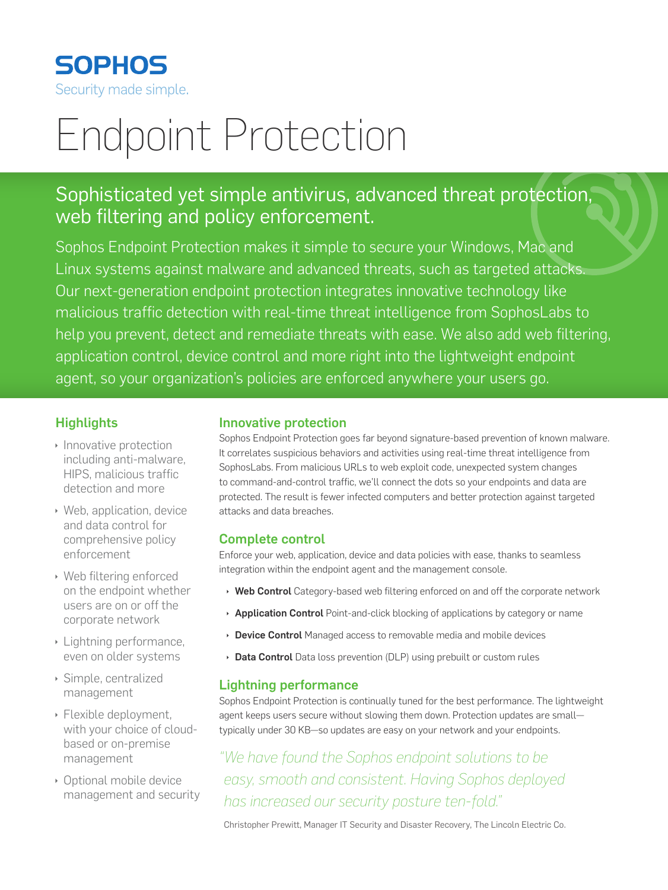

# Endpoint Protection

## Sophisticated yet simple antivirus, advanced threat protection, web filtering and policy enforcement.

Sophos Endpoint Protection makes it simple to secure your Windows, Mac and Linux systems against malware and advanced threats, such as targeted attacks. Our next-generation endpoint protection integrates innovative technology like malicious traffic detection with real-time threat intelligence from SophosLabs to help you prevent, detect and remediate threats with ease. We also add web filtering, application control, device control and more right into the lightweight endpoint agent, so your organization's policies are enforced anywhere your users go.

### **Highlights**

- $\cdot$  Innovative protection including anti-malware, HIPS, malicious traffic detection and more
- $\rightarrow$  Web, application, device and data control for comprehensive policy enforcement
- **Web filtering enforced** on the endpoint whether users are on or off the corporate network
- $\rightarrow$  Lightning performance, even on older systems
- $\rightarrow$  Simple, centralized management
- $\rightarrow$  Flexible deployment, with your choice of cloudbased or on-premise management
- **Optional mobile device** management and security

#### Innovative protection

Sophos Endpoint Protection goes far beyond signature-based prevention of known malware. It correlates suspicious behaviors and activities using real-time threat intelligence from SophosLabs. From malicious URLs to web exploit code, unexpected system changes to command-and-control traffic, we'll connect the dots so your endpoints and data are protected. The result is fewer infected computers and better protection against targeted attacks and data breaches.

#### Complete control

Enforce your web, application, device and data policies with ease, thanks to seamless integration within the endpoint agent and the management console.

- $\rightarrow$  Web Control Category-based web filtering enforced on and off the corporate network
- **Application Control** Point-and-click blocking of applications by category or name
- Device Control Managed access to removable media and mobile devices
- Data Control Data loss prevention (DLP) using prebuilt or custom rules

#### Lightning performance

Sophos Endpoint Protection is continually tuned for the best performance. The lightweight agent keeps users secure without slowing them down. Protection updates are small typically under 30 KB—so updates are easy on your network and your endpoints.

*"We have found the Sophos endpoint solutions to be easy, smooth and consistent. Having Sophos deployed has increased our security posture ten-fold."*

Christopher Prewitt, Manager IT Security and Disaster Recovery, The Lincoln Electric Co.